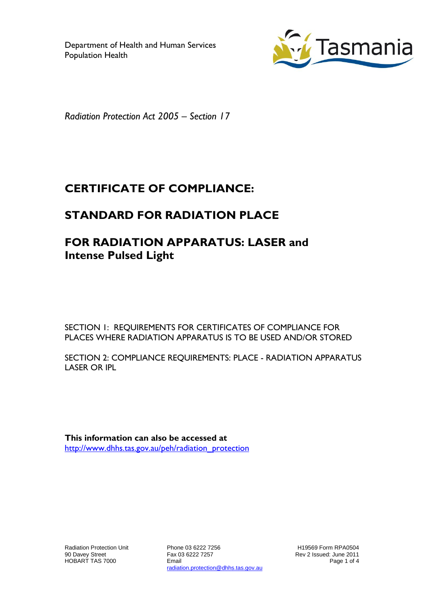

*Radiation Protection Act 2005 – Section 17*

# **CERTIFICATE OF COMPLIANCE:**

# **STANDARD FOR RADIATION PLACE**

# **FOR RADIATION APPARATUS: LASER and Intense Pulsed Light**

SECTION 1: REQUIREMENTS FOR CERTIFICATES OF COMPLIANCE FOR PLACES WHERE RADIATION APPARATUS IS TO BE USED AND/OR STORED

SECTION 2: COMPLIANCE REQUIREMENTS: PLACE - RADIATION APPARATUS LASER OR IPL

**This information can also be accessed at** [http://www.dhhs.tas.gov.au/peh/radiation\\_protection](http://www.dhhs.tas.gov.au/peh/radiation_protection)

Radiation Protection Unit 90 Davey Street HOBART TAS 7000

Phone 03 6222 7256 Fax 03 6222 7257 Email radiation.protection@dhhs.tas.gov.au

H19569 Form RPA0504 Rev 2 Issued: June 2011 Page 1 of 4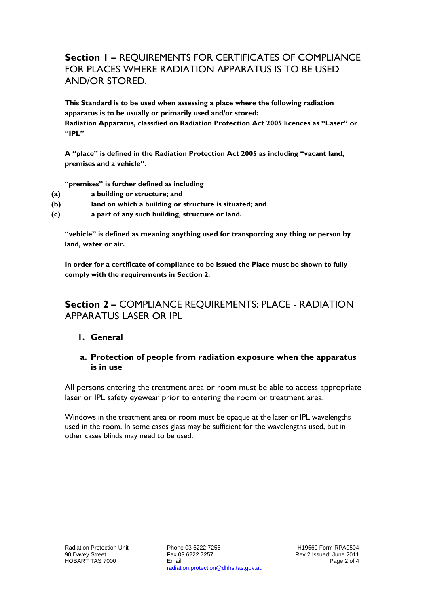# **Section 1 –** REQUIREMENTS FOR CERTIFICATES OF COMPLIANCE FOR PLACES WHERE RADIATION APPARATUS IS TO BE USED AND/OR STORED.

**This Standard is to be used when assessing a place where the following radiation apparatus is to be usually or primarily used and/or stored: Radiation Apparatus, classified on Radiation Protection Act 2005 licences as "Laser" or "IPL"**

**A "place" is defined in the Radiation Protection Act 2005 as including "vacant land, premises and a vehicle".**

**"premises" is further defined as including**

- **(a) a building or structure; and**
- **(b) land on which a building or structure is situated; and**
- **(c) a part of any such building, structure or land.**

**"vehicle" is defined as meaning anything used for transporting any thing or person by land, water or air.**

**In order for a certificate of compliance to be issued the Place must be shown to fully comply with the requirements in Section 2.**

## **Section 2 –** COMPLIANCE REQUIREMENTS: PLACE - RADIATION APPARATUS LASER OR IPL

#### **1. General**

#### **a. Protection of people from radiation exposure when the apparatus is in use**

All persons entering the treatment area or room must be able to access appropriate laser or IPL safety eyewear prior to entering the room or treatment area.

Windows in the treatment area or room must be opaque at the laser or IPL wavelengths used in the room. In some cases glass may be sufficient for the wavelengths used, but in other cases blinds may need to be used.

Phone 03 6222 7256 Fax 03 6222 7257 Email radiation.protection@dhhs.tas.gov.au

H19569 Form RPA0504 Rev 2 Issued: June 2011 Page 2 of 4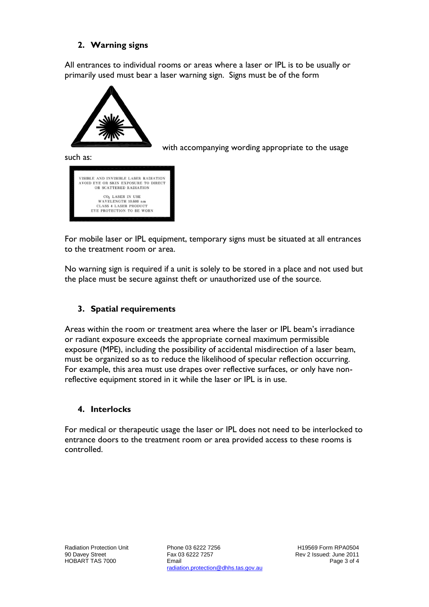## **2. Warning signs**

All entrances to individual rooms or areas where a laser or IPL is to be usually or primarily used must bear a laser warning sign. Signs must be of the form



with accompanying wording appropriate to the usage

such as:

| VISIBLE AND INVISIBLE LASER RADIATION |
|---------------------------------------|
| AVOID EYE OR SKIN EXPOSURE TO DIRECT  |
| OR SCATTERED RADIATION                |
| CO <sub>2</sub> LASER IN USE          |
| WAVELENGTH 10.600 nm                  |
| <b>CLASS 4 LASER PRODUCT</b>          |
| EYE PROTECTION TO BE WORN             |

For mobile laser or IPL equipment, temporary signs must be situated at all entrances to the treatment room or area.

No warning sign is required if a unit is solely to be stored in a place and not used but the place must be secure against theft or unauthorized use of the source.

## **3. Spatial requirements**

Areas within the room or treatment area where the laser or IPL beam's irradiance or radiant exposure exceeds the appropriate corneal maximum permissible exposure (MPE), including the possibility of accidental misdirection of a laser beam, must be organized so as to reduce the likelihood of specular reflection occurring. For example, this area must use drapes over reflective surfaces, or only have nonreflective equipment stored in it while the laser or IPL is in use.

## **4. Interlocks**

For medical or therapeutic usage the laser or IPL does not need to be interlocked to entrance doors to the treatment room or area provided access to these rooms is controlled.

Phone 03 6222 7256 Fax 03 6222 7257 Email radiation.protection@dhhs.tas.gov.au

H19569 Form RPA0504 Rev 2 Issued: June 2011 Page 3 of 4